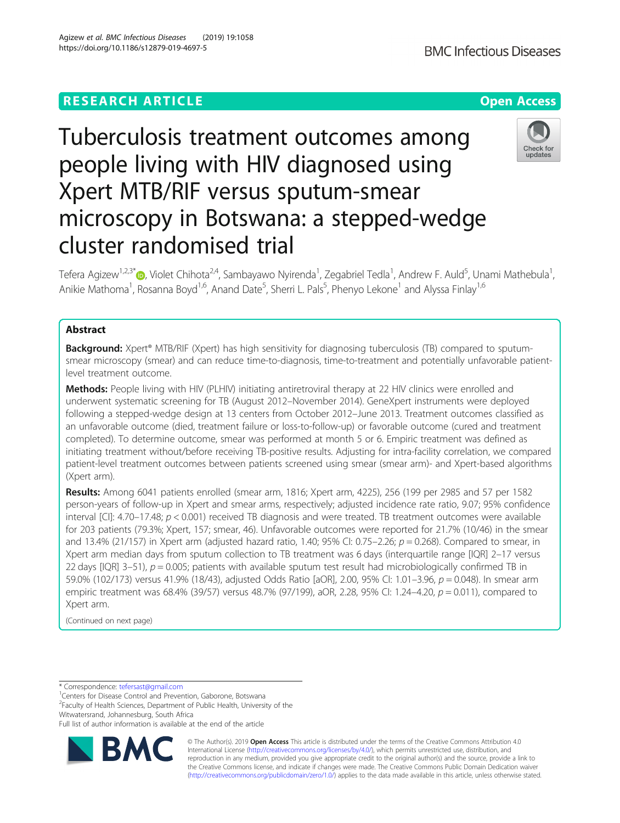# **RESEARCH ARTICLE Example 2014 12:30 The Contract of Contract ACCESS**

https://doi.org/10.1186/s12879-019-4697-5

Tefera Agizew<sup>1,2,3\*</sup>®, Violet Chihota<sup>2,4</sup>, Sambayawo Nyirenda<sup>1</sup>, Zegabriel Tedla<sup>1</sup>, Andrew F. Auld<sup>5</sup>, Unami Mathebula<sup>1</sup> , Anikie Mathoma<sup>1</sup>, Rosanna Boyd<sup>1,6</sup>, Anand Date<sup>5</sup>, Sherri L. Pals<sup>5</sup>, Phenyo Lekone<sup>1</sup> and Alyssa Finlay<sup>1,6</sup>

# Abstract

**Background:** Xpert® MTB/RIF (Xpert) has high sensitivity for diagnosing tuberculosis (TB) compared to sputumsmear microscopy (smear) and can reduce time-to-diagnosis, time-to-treatment and potentially unfavorable patientlevel treatment outcome.

Methods: People living with HIV (PLHIV) initiating antiretroviral therapy at 22 HIV clinics were enrolled and underwent systematic screening for TB (August 2012–November 2014). GeneXpert instruments were deployed following a stepped-wedge design at 13 centers from October 2012–June 2013. Treatment outcomes classified as an unfavorable outcome (died, treatment failure or loss-to-follow-up) or favorable outcome (cured and treatment completed). To determine outcome, smear was performed at month 5 or 6. Empiric treatment was defined as initiating treatment without/before receiving TB-positive results. Adjusting for intra-facility correlation, we compared patient-level treatment outcomes between patients screened using smear (smear arm)- and Xpert-based algorithms (Xpert arm).

Results: Among 6041 patients enrolled (smear arm, 1816; Xpert arm, 4225), 256 (199 per 2985 and 57 per 1582 person-years of follow-up in Xpert and smear arms, respectively; adjusted incidence rate ratio, 9.07; 95% confidence interval [CI]: 4.70–17.48;  $p < 0.001$ ) received TB diagnosis and were treated. TB treatment outcomes were available for 203 patients (79.3%; Xpert, 157; smear, 46). Unfavorable outcomes were reported for 21.7% (10/46) in the smear and 13.4% (21/157) in Xpert arm (adjusted hazard ratio, 1.40; 95% CI: 0.75–2.26;  $p = 0.268$ ). Compared to smear, in Xpert arm median days from sputum collection to TB treatment was 6 days (interquartile range [IQR] 2–17 versus 22 days [IQR] 3–51),  $p = 0.005$ ; patients with available sputum test result had microbiologically confirmed TB in 59.0% (102/173) versus 41.9% (18/43), adjusted Odds Ratio [aOR], 2.00, 95% CI: 1.01–3.96, p = 0.048). In smear arm empiric treatment was 68.4% (39/57) versus 48.7% (97/199), aOR, 2.28, 95% CI: 1.24–4.20, p = 0.011), compared to Xpert arm.

(Continued on next page)

\* Correspondence: [tefersast@gmail.com](mailto:tefersast@gmail.com) <sup>1</sup>

**BM** 

<sup>1</sup> Centers for Disease Control and Prevention, Gaborone, Botswana

<sup>2</sup> Faculty of Health Sciences, Department of Public Health, University of the Witwatersrand, Johannesburg, South Africa

Full list of author information is available at the end of the article

© The Author(s). 2019 **Open Access** This article is distributed under the terms of the Creative Commons Attribution 4.0 International License [\(http://creativecommons.org/licenses/by/4.0/](http://creativecommons.org/licenses/by/4.0/)), which permits unrestricted use, distribution, and reproduction in any medium, provided you give appropriate credit to the original author(s) and the source, provide a link to the Creative Commons license, and indicate if changes were made. The Creative Commons Public Domain Dedication waiver [\(http://creativecommons.org/publicdomain/zero/1.0/](http://creativecommons.org/publicdomain/zero/1.0/)) applies to the data made available in this article, unless otherwise stated.

Agizew et al. BMC Infectious Diseases (2019) 19:1058

# Tuberculosis treatment outcomes among people living with HIV diagnosed using Xpert MTB/RIF versus sputum-smear microscopy in Botswana: a stepped-wedge cluster randomised trial



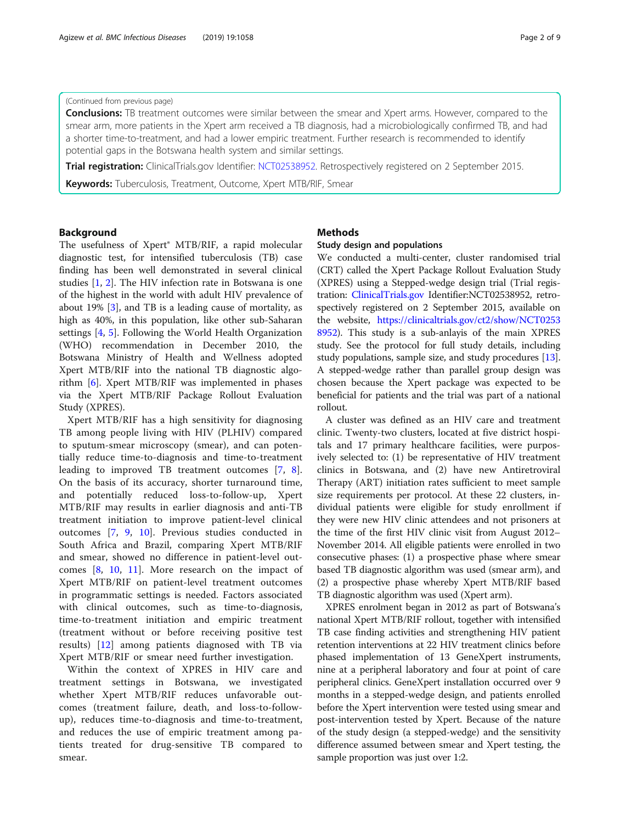## (Continued from previous page)

**Conclusions:** TB treatment outcomes were similar between the smear and Xpert arms. However, compared to the smear arm, more patients in the Xpert arm received a TB diagnosis, had a microbiologically confirmed TB, and had a shorter time-to-treatment, and had a lower empiric treatment. Further research is recommended to identify potential gaps in the Botswana health system and similar settings.

**Trial registration:** ClinicalTrials.gov Identifier: [NCT02538952](https://clinicaltrials.gov/ct2/show/NCT02538952). Retrospectively registered on 2 September 2015.

Keywords: Tuberculosis, Treatment, Outcome, Xpert MTB/RIF, Smear

# Background

The usefulness of Xpert® MTB/RIF, a rapid molecular diagnostic test, for intensified tuberculosis (TB) case finding has been well demonstrated in several clinical studies [\[1](#page-7-0), [2](#page-7-0)]. The HIV infection rate in Botswana is one of the highest in the world with adult HIV prevalence of about 19% [\[3](#page-8-0)], and TB is a leading cause of mortality, as high as 40%, in this population, like other sub-Saharan settings [\[4,](#page-8-0) [5](#page-8-0)]. Following the World Health Organization (WHO) recommendation in December 2010, the Botswana Ministry of Health and Wellness adopted Xpert MTB/RIF into the national TB diagnostic algorithm [\[6](#page-8-0)]. Xpert MTB/RIF was implemented in phases via the Xpert MTB/RIF Package Rollout Evaluation Study (XPRES).

Xpert MTB/RIF has a high sensitivity for diagnosing TB among people living with HIV (PLHIV) compared to sputum-smear microscopy (smear), and can potentially reduce time-to-diagnosis and time-to-treatment leading to improved TB treatment outcomes [[7,](#page-8-0) [8](#page-8-0)]. On the basis of its accuracy, shorter turnaround time, and potentially reduced loss-to-follow-up, Xpert MTB/RIF may results in earlier diagnosis and anti-TB treatment initiation to improve patient-level clinical outcomes [[7,](#page-8-0) [9](#page-8-0), [10\]](#page-8-0). Previous studies conducted in South Africa and Brazil, comparing Xpert MTB/RIF and smear, showed no difference in patient-level outcomes [[8](#page-8-0), [10,](#page-8-0) [11\]](#page-8-0). More research on the impact of Xpert MTB/RIF on patient-level treatment outcomes in programmatic settings is needed. Factors associated with clinical outcomes, such as time-to-diagnosis, time-to-treatment initiation and empiric treatment (treatment without or before receiving positive test results) [\[12](#page-8-0)] among patients diagnosed with TB via Xpert MTB/RIF or smear need further investigation.

Within the context of XPRES in HIV care and treatment settings in Botswana, we investigated whether Xpert MTB/RIF reduces unfavorable outcomes (treatment failure, death, and loss-to-followup), reduces time-to-diagnosis and time-to-treatment, and reduces the use of empiric treatment among patients treated for drug-sensitive TB compared to smear.

# Methods

#### Study design and populations

We conducted a multi-center, cluster randomised trial (CRT) called the Xpert Package Rollout Evaluation Study (XPRES) using a Stepped-wedge design trial (Trial registration: [ClinicalTrials.gov](http://clinicaltrials.gov) Identifier:NCT02538952, retrospectively registered on 2 September 2015, available on the website, [https://clinicaltrials.gov/ct2/show/NCT0253](https://clinicaltrials.gov/ct2/show/NCT02538952) [8952\)](https://clinicaltrials.gov/ct2/show/NCT02538952). This study is a sub-anlayis of the main XPRES study. See the protocol for full study details, including study populations, sample size, and study procedures [[13](#page-8-0)]. A stepped-wedge rather than parallel group design was chosen because the Xpert package was expected to be beneficial for patients and the trial was part of a national rollout.

A cluster was defined as an HIV care and treatment clinic. Twenty-two clusters, located at five district hospitals and 17 primary healthcare facilities, were purposively selected to: (1) be representative of HIV treatment clinics in Botswana, and (2) have new Antiretroviral Therapy (ART) initiation rates sufficient to meet sample size requirements per protocol. At these 22 clusters, individual patients were eligible for study enrollment if they were new HIV clinic attendees and not prisoners at the time of the first HIV clinic visit from August 2012– November 2014. All eligible patients were enrolled in two consecutive phases: (1) a prospective phase where smear based TB diagnostic algorithm was used (smear arm), and (2) a prospective phase whereby Xpert MTB/RIF based TB diagnostic algorithm was used (Xpert arm).

XPRES enrolment began in 2012 as part of Botswana's national Xpert MTB/RIF rollout, together with intensified TB case finding activities and strengthening HIV patient retention interventions at 22 HIV treatment clinics before phased implementation of 13 GeneXpert instruments, nine at a peripheral laboratory and four at point of care peripheral clinics. GeneXpert installation occurred over 9 months in a stepped-wedge design, and patients enrolled before the Xpert intervention were tested using smear and post-intervention tested by Xpert. Because of the nature of the study design (a stepped-wedge) and the sensitivity difference assumed between smear and Xpert testing, the sample proportion was just over 1:2.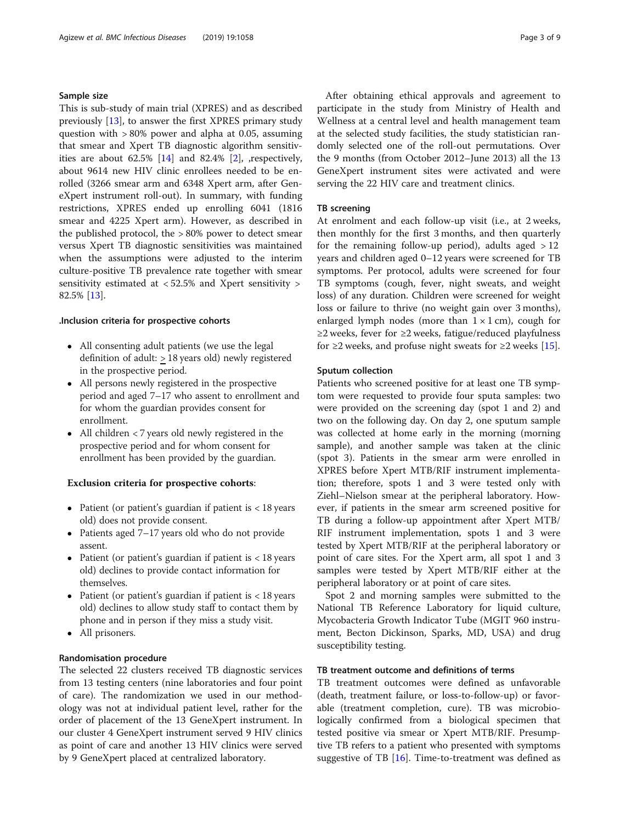## Sample size

This is sub-study of main trial (XPRES) and as described previously [[13](#page-8-0)], to answer the first XPRES primary study question with > 80% power and alpha at 0.05, assuming that smear and Xpert TB diagnostic algorithm sensitivities are about 62.5% [[14](#page-8-0)] and 82.4% [[2\]](#page-7-0), ,respectively, about 9614 new HIV clinic enrollees needed to be enrolled (3266 smear arm and 6348 Xpert arm, after GeneXpert instrument roll-out). In summary, with funding restrictions, XPRES ended up enrolling 6041 (1816 smear and 4225 Xpert arm). However, as described in the published protocol, the > 80% power to detect smear versus Xpert TB diagnostic sensitivities was maintained when the assumptions were adjusted to the interim culture-positive TB prevalence rate together with smear sensitivity estimated at < 52.5% and Xpert sensitivity > 82.5% [[13](#page-8-0)].

#### .Inclusion criteria for prospective cohorts

- All consenting adult patients (we use the legal definition of adult: > 18 years old) newly registered in the prospective period.
- All persons newly registered in the prospective period and aged 7–17 who assent to enrollment and for whom the guardian provides consent for enrollment.
- All children < 7 years old newly registered in the prospective period and for whom consent for enrollment has been provided by the guardian.

## Exclusion criteria for prospective cohorts:

- Patient (or patient's guardian if patient is  $<$  18 years old) does not provide consent.
- Patients aged 7–17 years old who do not provide assent.
- Patient (or patient's guardian if patient is  $<$  18 years old) declines to provide contact information for themselves.
- Patient (or patient's guardian if patient is  $<$  18 years old) declines to allow study staff to contact them by phone and in person if they miss a study visit.
- All prisoners.

# Randomisation procedure

The selected 22 clusters received TB diagnostic services from 13 testing centers (nine laboratories and four point of care). The randomization we used in our methodology was not at individual patient level, rather for the order of placement of the 13 GeneXpert instrument. In our cluster 4 GeneXpert instrument served 9 HIV clinics as point of care and another 13 HIV clinics were served by 9 GeneXpert placed at centralized laboratory.

After obtaining ethical approvals and agreement to participate in the study from Ministry of Health and Wellness at a central level and health management team at the selected study facilities, the study statistician randomly selected one of the roll-out permutations. Over the 9 months (from October 2012–June 2013) all the 13 GeneXpert instrument sites were activated and were serving the 22 HIV care and treatment clinics.

# TB screening

At enrolment and each follow-up visit (i.e., at 2 weeks, then monthly for the first 3 months, and then quarterly for the remaining follow-up period), adults aged  $>12$ years and children aged 0–12 years were screened for TB symptoms. Per protocol, adults were screened for four TB symptoms (cough, fever, night sweats, and weight loss) of any duration. Children were screened for weight loss or failure to thrive (no weight gain over 3 months), enlarged lymph nodes (more than  $1 \times 1$  cm), cough for ≥2 weeks, fever for ≥2 weeks, fatigue/reduced playfulness for ≥2 weeks, and profuse night sweats for ≥2 weeks [\[15\]](#page-8-0).

#### Sputum collection

Patients who screened positive for at least one TB symptom were requested to provide four sputa samples: two were provided on the screening day (spot 1 and 2) and two on the following day. On day 2, one sputum sample was collected at home early in the morning (morning sample), and another sample was taken at the clinic (spot 3). Patients in the smear arm were enrolled in XPRES before Xpert MTB/RIF instrument implementation; therefore, spots 1 and 3 were tested only with Ziehl–Nielson smear at the peripheral laboratory. However, if patients in the smear arm screened positive for TB during a follow-up appointment after Xpert MTB/ RIF instrument implementation, spots 1 and 3 were tested by Xpert MTB/RIF at the peripheral laboratory or point of care sites. For the Xpert arm, all spot 1 and 3 samples were tested by Xpert MTB/RIF either at the peripheral laboratory or at point of care sites.

Spot 2 and morning samples were submitted to the National TB Reference Laboratory for liquid culture, Mycobacteria Growth Indicator Tube (MGIT 960 instrument, Becton Dickinson, Sparks, MD, USA) and drug susceptibility testing.

#### TB treatment outcome and definitions of terms

TB treatment outcomes were defined as unfavorable (death, treatment failure, or loss-to-follow-up) or favorable (treatment completion, cure). TB was microbiologically confirmed from a biological specimen that tested positive via smear or Xpert MTB/RIF. Presumptive TB refers to a patient who presented with symptoms suggestive of TB [[16](#page-8-0)]. Time-to-treatment was defined as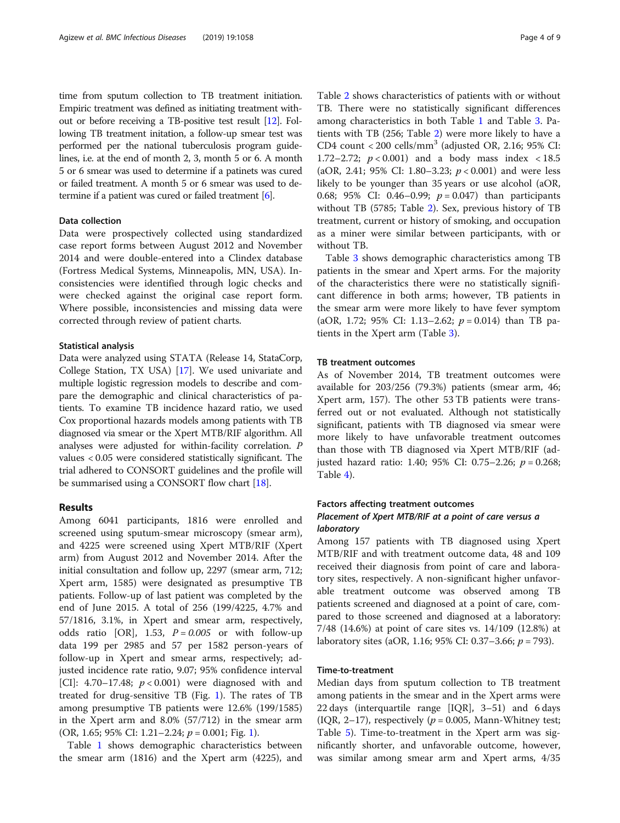time from sputum collection to TB treatment initiation. Empiric treatment was defined as initiating treatment without or before receiving a TB-positive test result [\[12\]](#page-8-0). Following TB treatment initation, a follow-up smear test was performed per the national tuberculosis program guidelines, i.e. at the end of month 2, 3, month 5 or 6. A month 5 or 6 smear was used to determine if a patinets was cured or failed treatment. A month 5 or 6 smear was used to determine if a patient was cured or failed treatment [\[6\]](#page-8-0).

#### Data collection

Data were prospectively collected using standardized case report forms between August 2012 and November 2014 and were double-entered into a Clindex database (Fortress Medical Systems, Minneapolis, MN, USA). Inconsistencies were identified through logic checks and were checked against the original case report form. Where possible, inconsistencies and missing data were corrected through review of patient charts.

#### Statistical analysis

Data were analyzed using STATA (Release 14, StataCorp, College Station, TX USA) [[17\]](#page-8-0). We used univariate and multiple logistic regression models to describe and compare the demographic and clinical characteristics of patients. To examine TB incidence hazard ratio, we used Cox proportional hazards models among patients with TB diagnosed via smear or the Xpert MTB/RIF algorithm. All analyses were adjusted for within-facility correlation. P values < 0.05 were considered statistically significant. The trial adhered to CONSORT guidelines and the profile will be summarised using a CONSORT flow chart [[18](#page-8-0)].

### Results

Among 6041 participants, 1816 were enrolled and screened using sputum-smear microscopy (smear arm), and 4225 were screened using Xpert MTB/RIF (Xpert arm) from August 2012 and November 2014. After the initial consultation and follow up, 2297 (smear arm, 712; Xpert arm, 1585) were designated as presumptive TB patients. Follow-up of last patient was completed by the end of June 2015. A total of 256 (199/4225, 4.7% and 57/1816, 3.1%, in Xpert and smear arm, respectively, odds ratio [OR], 1.53,  $P = 0.005$  or with follow-up data 199 per 2985 and 57 per 1582 person-years of follow-up in Xpert and smear arms, respectively; adjusted incidence rate ratio, 9.07; 95% confidence interval [CI]: 4.70–17.48;  $p < 0.001$ ) were diagnosed with and treated for drug-sensitive TB (Fig. [1](#page-4-0)). The rates of TB among presumptive TB patients were 12.6% (199/1585) in the Xpert arm and 8.0% (57/712) in the smear arm (OR, 1.65; 95% CI: 1.21–2.24;  $p = 0.001$ ; Fig. [1\)](#page-4-0).

Table [1](#page-4-0) shows demographic characteristics between the smear arm (1816) and the Xpert arm (4225), and

Table [2](#page-5-0) shows characteristics of patients with or without TB. There were no statistically significant differences among characteristics in both Table [1](#page-4-0) and Table [3](#page-5-0). Patients with TB (256; Table [2](#page-5-0)) were more likely to have a CD4 count < 200 cells/mm<sup>3</sup> (adjusted OR, 2.16; 95% CI: 1.72–2.72;  $p < 0.001$ ) and a body mass index  $< 18.5$ (aOR, 2.41; 95% CI: 1.80–3.23;  $p < 0.001$ ) and were less likely to be younger than 35 years or use alcohol (aOR, 0.68; 95% CI: 0.46–0.99;  $p = 0.047$ ) than participants without TB (5785; Table [2\)](#page-5-0). Sex, previous history of TB treatment, current or history of smoking, and occupation as a miner were similar between participants, with or without TB.

Table [3](#page-5-0) shows demographic characteristics among TB patients in the smear and Xpert arms. For the majority of the characteristics there were no statistically significant difference in both arms; however, TB patients in the smear arm were more likely to have fever symptom (aOR, 1.72; 95% CI: 1.13–2.62;  $p = 0.014$ ) than TB patients in the Xpert arm (Table [3](#page-5-0)).

# TB treatment outcomes

As of November 2014, TB treatment outcomes were available for 203/256 (79.3%) patients (smear arm, 46; Xpert arm, 157). The other 53 TB patients were transferred out or not evaluated. Although not statistically significant, patients with TB diagnosed via smear were more likely to have unfavorable treatment outcomes than those with TB diagnosed via Xpert MTB/RIF (adjusted hazard ratio: 1.40; 95% CI: 0.75–2.26;  $p = 0.268$ ; Table [4\)](#page-6-0).

# Factors affecting treatment outcomes

# Placement of Xpert MTB/RIF at a point of care versus a laboratory

Among 157 patients with TB diagnosed using Xpert MTB/RIF and with treatment outcome data, 48 and 109 received their diagnosis from point of care and laboratory sites, respectively. A non-significant higher unfavorable treatment outcome was observed among TB patients screened and diagnosed at a point of care, compared to those screened and diagnosed at a laboratory: 7/48 (14.6%) at point of care sites vs. 14/109 (12.8%) at laboratory sites (aOR, 1.16; 95% CI: 0.37–3.66;  $p = 793$ ).

## Time-to-treatment

Median days from sputum collection to TB treatment among patients in the smear and in the Xpert arms were 22 days (interquartile range [IQR], 3–51) and 6 days (IQR, 2–17), respectively ( $p = 0.005$ , Mann-Whitney test; Table [5\)](#page-6-0). Time-to-treatment in the Xpert arm was significantly shorter, and unfavorable outcome, however, was similar among smear arm and Xpert arms, 4/35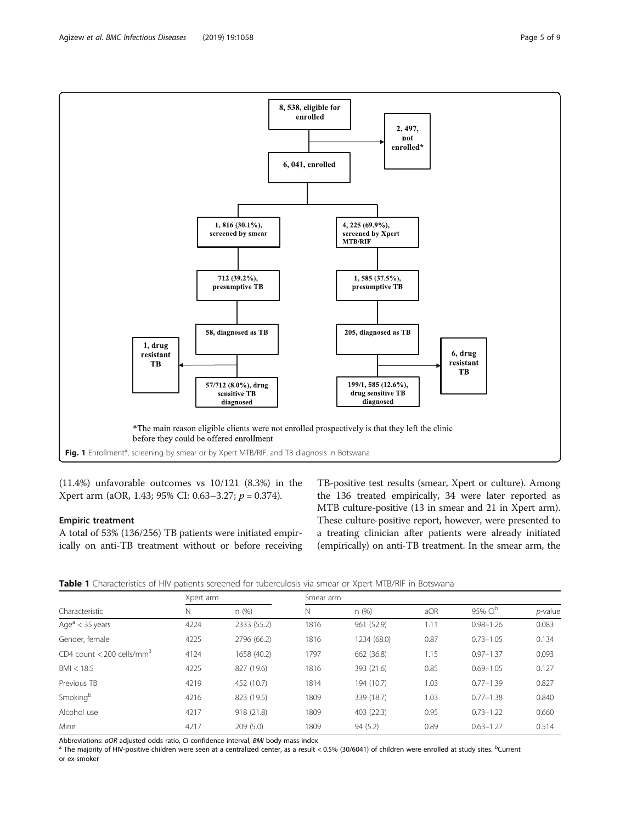(11.4%) unfavorable outcomes vs 10/121 (8.3%) in the Xpert arm (aOR, 1.43; 95% CI: 0.63–3.27;  $p = 0.374$ ).

#### Empiric treatment

A total of 53% (136/256) TB patients were initiated empirically on anti-TB treatment without or before receiving TB-positive test results (smear, Xpert or culture). Among the 136 treated empirically, 34 were later reported as MTB culture-positive (13 in smear and 21 in Xpert arm). These culture-positive report, however, were presented to a treating clinician after patients were already initiated (empirically) on anti-TB treatment. In the smear arm, the



| Characteristic                        | Xpert arm |             | Smear arm |             |      |                     |            |
|---------------------------------------|-----------|-------------|-----------|-------------|------|---------------------|------------|
|                                       | Ν         | n(%)        | N         | n (%)       | aOR  | 95% CI <sup>b</sup> | $p$ -value |
| Age $a$ < 35 years                    | 4224      | 2333 (55.2) | 1816      | 961 (52.9)  | 1.11 | $0.98 - 1.26$       | 0.083      |
| Gender, female                        | 4225      | 2796 (66.2) | 1816      | 1234 (68.0) | 0.87 | $0.73 - 1.05$       | 0.134      |
| CD4 count < 200 cells/mm <sup>3</sup> | 4124      | 1658 (40.2) | 1797      | 662 (36.8)  | 1.15 | $0.97 - 1.37$       | 0.093      |
| BM < 18.5                             | 4225      | 827 (19.6)  | 1816      | 393 (21.6)  | 0.85 | $0.69 - 1.05$       | 0.127      |
| Previous TB                           | 4219      | 452 (10.7)  | 1814      | 194 (10.7)  | 1.03 | $0.77 - 1.39$       | 0.827      |
| Smoking <sup>b</sup>                  | 4216      | 823 (19.5)  | 1809      | 339 (18.7)  | 1.03 | $0.77 - 1.38$       | 0.840      |
| Alcohol use                           | 4217      | 918 (21.8)  | 1809      | 403 (22.3)  | 0.95 | $0.73 - 1.22$       | 0.660      |
| Mine                                  | 4217      | 209(5.0)    | 1809      | 94 (5.2)    | 0.89 | $0.63 - 1.27$       | 0.514      |

Abbreviations: *aOR* adjusted odds ratio, C1 confidence interval, *BMI* body mass index<br><sup>a</sup> The majority of HIV-positive children were seen at a centralized center, as a result < 0.5% (30/6041) of children were enrolled at or ex-smoker

<span id="page-4-0"></span>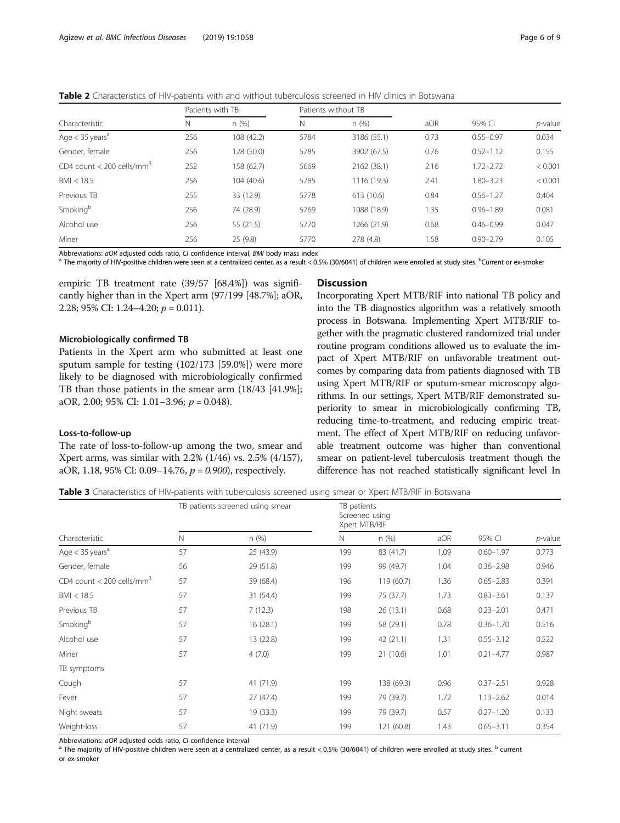<span id="page-5-0"></span>Table 2 Characteristics of HIV-patients with and without tuberculosis screened in HIV clinics in Botswana

|                                         | Patients with TB |            |      | Patients without TB |      |               |            |
|-----------------------------------------|------------------|------------|------|---------------------|------|---------------|------------|
| Characteristic                          | N                | n(%)       | N    | n(%)                | aOR  | 95% CI        | $p$ -value |
| Age $<$ 35 years <sup>a</sup>           | 256              | 108 (42.2) | 5784 | 3186 (55.1)         | 0.73 | $0.55 - 0.97$ | 0.034      |
| Gender, female                          | 256              | 128 (50.0) | 5785 | 3902 (67.5)         | 0.76 | $0.52 - 1.12$ | 0.155      |
| CD4 count $<$ 200 cells/mm <sup>3</sup> | 252              | 158 (62.7) | 5669 | 2162 (38.1)         | 2.16 | $1.72 - 2.72$ | < 0.001    |
| BM < 18.5                               | 256              | 104 (40.6) | 5785 | 1116 (19.3)         | 2.41 | 1.80-3.23     | < 0.001    |
| Previous TB                             | 255              | 33 (12.9)  | 5778 | 613 (10.6)          | 0.84 | $0.56 - 1.27$ | 0.404      |
| Smoking <sup>b</sup>                    | 256              | 74 (28.9)  | 5769 | 1088 (18.9)         | 1.35 | $0.96 - 1.89$ | 0.081      |
| Alcohol use                             | 256              | 55(21.5)   | 5770 | 1266 (21.9)         | 0.68 | $0.46 - 0.99$ | 0.047      |
| Miner                                   | 256              | 25(9.8)    | 5770 | 278 (4.8)           | 1.58 | $0.90 - 2.79$ | 0.105      |

Abbreviations: *aOR* adjusted odds ratio, C/ confidence interval, *BMI* body mass index<br><sup>a</sup> The majority of HIV-positive children were seen at a centralized center, as a result < 0.5% (30/6041) of children were enrolled at

empiric TB treatment rate (39/57 [68.4%]) was significantly higher than in the Xpert arm (97/199 [48.7%]; aOR, 2.28; 95% CI: 1.24–4.20;  $p = 0.011$ ).

#### Microbiologically confirmed TB

Patients in the Xpert arm who submitted at least one sputum sample for testing (102/173 [59.0%]) were more likely to be diagnosed with microbiologically confirmed TB than those patients in the smear arm (18/43 [41.9%]; aOR, 2.00; 95% CI: 1.01–3.96;  $p = 0.048$ ).

#### Loss-to-follow-up

The rate of loss-to-follow-up among the two, smear and Xpert arms, was similar with 2.2% (1/46) vs. 2.5% (4/157), aOR, 1.18, 95% CI: 0.09–14.76,  $p = 0.900$ ), respectively.

#### **Discussion**

Incorporating Xpert MTB/RIF into national TB policy and into the TB diagnostics algorithm was a relatively smooth process in Botswana. Implementing Xpert MTB/RIF together with the pragmatic clustered randomized trial under routine program conditions allowed us to evaluate the impact of Xpert MTB/RIF on unfavorable treatment outcomes by comparing data from patients diagnosed with TB using Xpert MTB/RIF or sputum-smear microscopy algorithms. In our settings, Xpert MTB/RIF demonstrated superiority to smear in microbiologically confirming TB, reducing time-to-treatment, and reducing empiric treatment. The effect of Xpert MTB/RIF on reducing unfavorable treatment outcome was higher than conventional smear on patient-level tuberculosis treatment though the difference has not reached statistically significant level In

Table 3 Characteristics of HIV-patients with tuberculosis screened using smear or Xpert MTB/RIF in Botswana

|                                       | TB patients screened using smear |           | TB patients<br>Screened using<br>Xpert MTB/RIF |            |      |               |         |
|---------------------------------------|----------------------------------|-----------|------------------------------------------------|------------|------|---------------|---------|
| Characteristic                        | $\mathbb N$                      | n(%)      | N                                              | n(%)       | aOR  | 95% CI        | p-value |
| Age $<$ 35 years <sup>a</sup>         | 57                               | 25 (43.9) | 199                                            | 83 (41.7)  | 1.09 | $0.60 - 1.97$ | 0.773   |
| Gender, female                        | 56                               | 29 (51.8) | 199                                            | 99 (49.7)  | 1.04 | $0.36 - 2.98$ | 0.946   |
| CD4 count < 200 cells/mm <sup>3</sup> | 57                               | 39 (68.4) | 196                                            | 119 (60.7) | 1.36 | $0.65 - 2.83$ | 0.391   |
| BMI < 18.5                            | 57                               | 31 (54.4) | 199                                            | 75 (37.7)  | 1.73 | $0.83 - 3.61$ | 0.137   |
| Previous TB                           | 57                               | 7(12.3)   | 198                                            | 26(13.1)   | 0.68 | $0.23 - 2.01$ | 0.471   |
| Smoking <sup>b</sup>                  | 57                               | 16(28.1)  | 199                                            | 58 (29.1)  | 0.78 | $0.36 - 1.70$ | 0.516   |
| Alcohol use                           | 57                               | 13 (22.8) | 199                                            | 42 (21.1)  | 1.31 | $0.55 - 3.12$ | 0.522   |
| Miner                                 | 57                               | 4(7.0)    | 199                                            | 21(10.6)   | 1.01 | $0.21 - 4.77$ | 0.987   |
| TB symptoms                           |                                  |           |                                                |            |      |               |         |
| Cough                                 | 57                               | 41 (71.9) | 199                                            | 138 (69.3) | 0.96 | $0.37 - 2.51$ | 0.928   |
| Fever                                 | 57                               | 27(47.4)  | 199                                            | 79 (39.7)  | 1.72 | $1.13 - 2.62$ | 0.014   |
| Night sweats                          | 57                               | 19 (33.3) | 199                                            | 79 (39.7)  | 0.57 | $0.27 - 1.20$ | 0.133   |
| Weight-loss                           | 57                               | 41 (71.9) | 199                                            | 121 (60.8) | 1.43 | $0.65 - 3.11$ | 0.354   |

Abbreviations: aOR adjusted odds ratio, CI confidence interval<br><sup>a</sup> The majority of HIV-positive children were seen at a centralized center, as a result < 0.5% (30/6041) of children were enrolled at study sites. <sup>b</sup> current or ex-smoker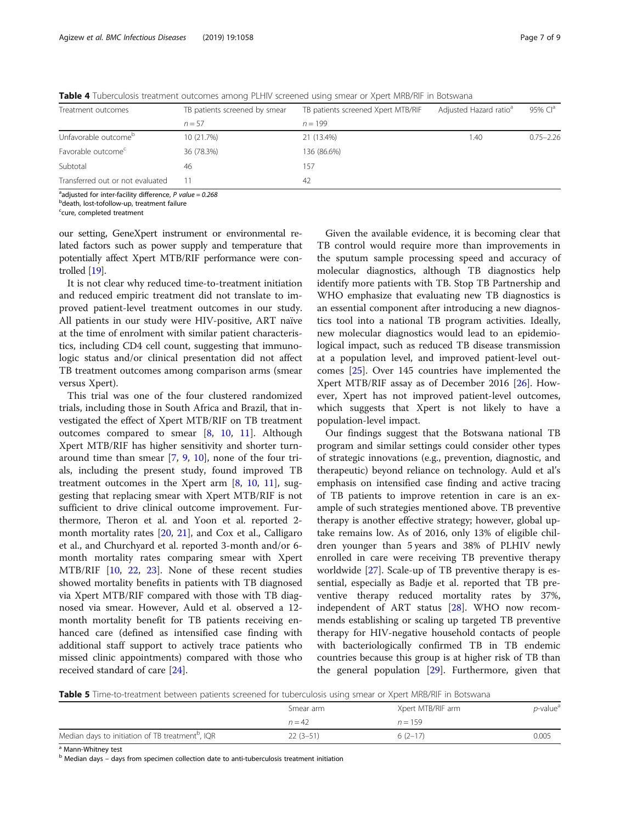| Treatment outcomes               | TB patients screened by smear | TB patients screened Xpert MTB/RIF | Adjusted Hazard ratio <sup>a</sup> | 95% $Cla$     |
|----------------------------------|-------------------------------|------------------------------------|------------------------------------|---------------|
|                                  | $n = 57$                      | $n = 199$                          |                                    |               |
| Unfavorable outcome <sup>b</sup> | 10 (21.7%)                    | 21 (13.4%)                         | 1.40                               | $0.75 - 2.26$ |
| Favorable outcome <sup>c</sup>   | 36 (78.3%)                    | 136 (86.6%)                        |                                    |               |
| Subtotal                         | 46                            | 157                                |                                    |               |
| Transferred out or not evaluated | 11                            | 42                                 |                                    |               |

<span id="page-6-0"></span>Table 4 Tuberculosis treatment outcomes among PLHIV screened using smear or Xpert MRB/RIF in Botswana

<sup>a</sup>adjusted for inter-facility difference, P value = 0.268<br><sup>b</sup>doath lost tofollow up treatment failure

**b**death, lost-tofollow-up, treatment failure

<sup>c</sup>cure, completed treatment

our setting, GeneXpert instrument or environmental related factors such as power supply and temperature that potentially affect Xpert MTB/RIF performance were controlled [[19](#page-8-0)].

It is not clear why reduced time-to-treatment initiation and reduced empiric treatment did not translate to improved patient-level treatment outcomes in our study. All patients in our study were HIV-positive, ART naïve at the time of enrolment with similar patient characteristics, including CD4 cell count, suggesting that immunologic status and/or clinical presentation did not affect TB treatment outcomes among comparison arms (smear versus Xpert).

This trial was one of the four clustered randomized trials, including those in South Africa and Brazil, that investigated the effect of Xpert MTB/RIF on TB treatment outcomes compared to smear [[8](#page-8-0), [10,](#page-8-0) [11](#page-8-0)]. Although Xpert MTB/RIF has higher sensitivity and shorter turnaround time than smear [[7,](#page-8-0) [9](#page-8-0), [10\]](#page-8-0), none of the four trials, including the present study, found improved TB treatment outcomes in the Xpert arm  $[8, 10, 11]$  $[8, 10, 11]$  $[8, 10, 11]$  $[8, 10, 11]$  $[8, 10, 11]$  $[8, 10, 11]$  $[8, 10, 11]$ , suggesting that replacing smear with Xpert MTB/RIF is not sufficient to drive clinical outcome improvement. Furthermore, Theron et al. and Yoon et al. reported 2 month mortality rates [[20](#page-8-0), [21](#page-8-0)], and Cox et al., Calligaro et al., and Churchyard et al. reported 3-month and/or 6 month mortality rates comparing smear with Xpert MTB/RIF [\[10](#page-8-0), [22,](#page-8-0) [23\]](#page-8-0). None of these recent studies showed mortality benefits in patients with TB diagnosed via Xpert MTB/RIF compared with those with TB diagnosed via smear. However, Auld et al. observed a 12 month mortality benefit for TB patients receiving enhanced care (defined as intensified case finding with additional staff support to actively trace patients who missed clinic appointments) compared with those who received standard of care [\[24](#page-8-0)].

Given the available evidence, it is becoming clear that TB control would require more than improvements in the sputum sample processing speed and accuracy of molecular diagnostics, although TB diagnostics help identify more patients with TB. Stop TB Partnership and WHO emphasize that evaluating new TB diagnostics is an essential component after introducing a new diagnostics tool into a national TB program activities. Ideally, new molecular diagnostics would lead to an epidemiological impact, such as reduced TB disease transmission at a population level, and improved patient-level outcomes [\[25](#page-8-0)]. Over 145 countries have implemented the Xpert MTB/RIF assay as of December 2016 [\[26](#page-8-0)]. However, Xpert has not improved patient-level outcomes, which suggests that Xpert is not likely to have a population-level impact.

Our findings suggest that the Botswana national TB program and similar settings could consider other types of strategic innovations (e.g., prevention, diagnostic, and therapeutic) beyond reliance on technology. Auld et al's emphasis on intensified case finding and active tracing of TB patients to improve retention in care is an example of such strategies mentioned above. TB preventive therapy is another effective strategy; however, global uptake remains low. As of 2016, only 13% of eligible children younger than 5 years and 38% of PLHIV newly enrolled in care were receiving TB preventive therapy worldwide [[27\]](#page-8-0). Scale-up of TB preventive therapy is essential, especially as Badje et al. reported that TB preventive therapy reduced mortality rates by 37%, independent of ART status [[28\]](#page-8-0). WHO now recommends establishing or scaling up targeted TB preventive therapy for HIV-negative household contacts of people with bacteriologically confirmed TB in TB endemic countries because this group is at higher risk of TB than the general population [[29\]](#page-8-0). Furthermore, given that

Table 5 Time-to-treatment between patients screened for tuberculosis using smear or Xpert MRB/RIF in Botswana

|                                                              | Smear arm  | Xpert MTB/RIF arm |       |
|--------------------------------------------------------------|------------|-------------------|-------|
|                                                              | $n = 42$   | $n = 159$         |       |
| Median days to initiation of TB treatment <sup>b</sup> , IQR | $22(3-51)$ | $6(2-17)$         | 0.005 |

<sup>a</sup> Mann-Whitney test

 $<sup>b</sup>$  Median days – days from specimen collection date to anti-tuberculosis treatment initiation</sup>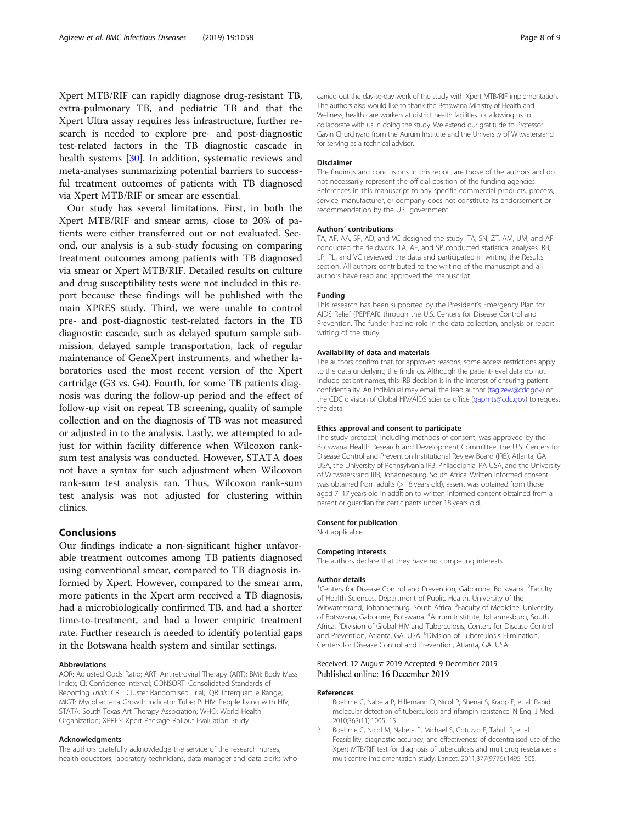<span id="page-7-0"></span>Xpert MTB/RIF can rapidly diagnose drug-resistant TB, extra-pulmonary TB, and pediatric TB and that the Xpert Ultra assay requires less infrastructure, further research is needed to explore pre- and post-diagnostic test-related factors in the TB diagnostic cascade in health systems [\[30](#page-8-0)]. In addition, systematic reviews and meta-analyses summarizing potential barriers to successful treatment outcomes of patients with TB diagnosed via Xpert MTB/RIF or smear are essential.

Our study has several limitations. First, in both the Xpert MTB/RIF and smear arms, close to 20% of patients were either transferred out or not evaluated. Second, our analysis is a sub-study focusing on comparing treatment outcomes among patients with TB diagnosed via smear or Xpert MTB/RIF. Detailed results on culture and drug susceptibility tests were not included in this report because these findings will be published with the main XPRES study. Third, we were unable to control pre- and post-diagnostic test-related factors in the TB diagnostic cascade, such as delayed sputum sample submission, delayed sample transportation, lack of regular maintenance of GeneXpert instruments, and whether laboratories used the most recent version of the Xpert cartridge (G3 vs. G4). Fourth, for some TB patients diagnosis was during the follow-up period and the effect of follow-up visit on repeat TB screening, quality of sample collection and on the diagnosis of TB was not measured or adjusted in to the analysis. Lastly, we attempted to adjust for within facility difference when Wilcoxon ranksum test analysis was conducted. However, STATA does not have a syntax for such adjustment when Wilcoxon rank-sum test analysis ran. Thus, Wilcoxon rank-sum test analysis was not adjusted for clustering within clinics.

# Conclusions

Our findings indicate a non-significant higher unfavorable treatment outcomes among TB patients diagnosed using conventional smear, compared to TB diagnosis informed by Xpert. However, compared to the smear arm, more patients in the Xpert arm received a TB diagnosis, had a microbiologically confirmed TB, and had a shorter time-to-treatment, and had a lower empiric treatment rate. Further research is needed to identify potential gaps in the Botswana health system and similar settings.

#### Abbreviations

AOR: Adjusted Odds Ratio; ART: Antiretroviral Therapy (ART); BMI: Body Mass Index; CI: Confidence Interval; CONSORT: Consolidated Standards of Reporting Trials; CRT: Cluster Randomised Trial; IQR: Interquartile Range; MIGT: Mycobacteria Growth Indicator Tube; PLHIV: People living with HIV; STATA: South Texas Art Therapy Association; WHO: World Health Organization; XPRES: Xpert Package Rollout Evaluation Study

#### Acknowledgments

The authors gratefully acknowledge the service of the research nurses, health educators, laboratory technicians, data manager and data clerks who carried out the day-to-day work of the study with Xpert MTB/RIF implementation. The authors also would like to thank the Botswana Ministry of Health and Wellness, health care workers at district health facilities for allowing us to collaborate with us in doing the study. We extend our gratitude to Professor Gavin Churchyard from the Aurum Institute and the University of Witwatersrand for serving as a technical advisor.

#### Disclaimer

The findings and conclusions in this report are those of the authors and do not necessarily represent the official position of the funding agencies. References in this manuscript to any specific commercial products, process, service, manufacturer, or company does not constitute its endorsement or recommendation by the U.S. government.

#### Authors' contributions

TA, AF, AA, SP, AD, and VC designed the study. TA, SN, ZT, AM, UM, and AF conducted the fieldwork. TA, AF, and SP conducted statistical analyses. RB, LP, PL, and VC reviewed the data and participated in writing the Results section. All authors contributed to the writing of the manuscript and all authors have read and approved the manuscript.

#### Funding

This research has been supported by the President's Emergency Plan for AIDS Relief (PEPFAR) through the U.S. Centers for Disease Control and Prevention. The funder had no role in the data collection, analysis or report writing of the study.

#### Availability of data and materials

The authors confirm that, for approved reasons, some access restrictions apply to the data underlying the findings. Although the patient-level data do not include patient names, this IRB decision is in the interest of ensuring patient confidentiality. An individual may email the lead author [\(tagizew@cdc.gov\)](mailto:tagizew@cdc.gov) or the CDC division of Global HIV/AIDS science office ([gapmts@cdc.gov\)](mailto:gapmts@cdc.gov) to request the data.

#### Ethics approval and consent to participate

The study protocol, including methods of consent, was approved by the Botswana Health Research and Development Committee, the U.S. Centers for Disease Control and Prevention Institutional Review Board (IRB), Atlanta, GA USA, the University of Pennsylvania IRB, Philadelphia, PA USA, and the University of Witwatersrand IRB, Johannesburg, South Africa. Written informed consent was obtained from adults (> 18 years old), assent was obtained from those aged 7-17 years old in addition to written informed consent obtained from a parent or guardian for participants under 18 years old.

#### Consent for publication

Not applicable.

#### Competing interests

The authors declare that they have no competing interests.

#### Author details

<sup>1</sup> Centers for Disease Control and Prevention, Gaborone, Botswana. <sup>2</sup> Faculty of Health Sciences, Department of Public Health, University of the Witwatersrand, Johannesburg, South Africa. <sup>3</sup> Faculty of Medicine, University of Botswana, Gaborone, Botswana. <sup>4</sup>Aurum Institute, Johannesburg, South Africa. <sup>5</sup> Division of Global HIV and Tuberculosis, Centers for Disease Control and Prevention, Atlanta, GA, USA. <sup>6</sup>Division of Tuberculosis Elimination, Centers for Disease Control and Prevention, Atlanta, GA, USA.

#### Received: 12 August 2019 Accepted: 9 December 2019 Published online: 16 December 2019

#### References

- 1. Boehme C, Nabeta P, Hillemann D, Nicol P, Shenai S, Krapp F, et al. Rapid molecular detection of tuberculosis and rifampin resistance. N Engl J Med. 2010;363(11):1005–15.
- 2. Boehme C, Nicol M, Nabeta P, Michael S, Gotuzzo E, Tahirli R, et al. Feasibility, diagnostic accuracy, and effectiveness of decentralised use of the Xpert MTB/RIF test for diagnosis of tuberculosis and multidrug resistance: a multicentre implementation study. Lancet. 2011;377(9776):1495–505.